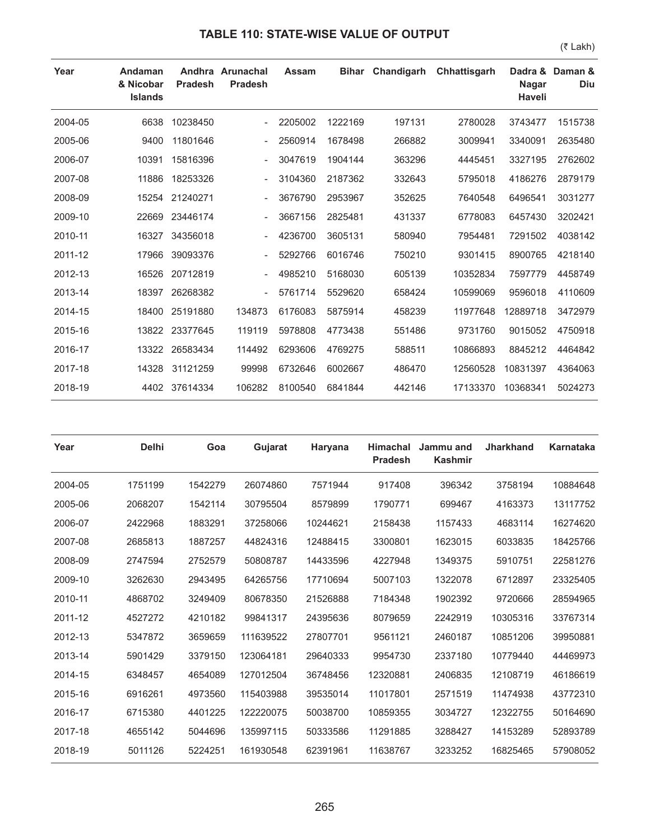## **TABLE 110: STATE-WISE VALUE OF OUTPUT**

**Year Andaman & Nicobar Islands Andhra Arunachal Pradesh Pradesh Assam Bihar Chandigarh Chhattisgarh Nagar Haveli** Dadra & Daman & **Diu** 2004-05 6638 10238450 - 2205002 1222169 197131 2780028 3743477 1515738 2005-06 9400 11801646 - 2560914 1678498 266882 3009941 3340091 2635480 2006-07 10391 15816396 - 3047619 1904144 363296 4445451 3327195 2762602 2007-08 11886 18253326 - 3104360 2187362 332643 5795018 4186276 2879179 2008-09 15254 21240271 - 3676790 2953967 352625 7640548 6496541 3031277 2009-10 22669 23446174 - 3667156 2825481 431337 6778083 6457430 3202421 2010-11 16327 34356018 - 4236700 3605131 580940 7954481 7291502 4038142 2011-12 17966 39093376 - 5292766 6016746 750210 9301415 8900765 4218140 2012-13 16526 20712819 - 4985210 5168030 605139 10352834 7597779 4458749 2013-14 18397 26268382 - 5761714 5529620 658424 10599069 9596018 4110609 2014-15 18400 25191880 134873 6176083 5875914 458239 11977648 12889718 3472979 2015-16 13822 23377645 119119 5978808 4773438 551486 9731760 9015052 4750918 2016-17 13322 26583434 114492 6293606 4769275 588511 10866893 8845212 4464842 2017-18 14328 31121259 99998 6732646 6002667 486470 12560528 10831397 4364063 2018-19 4402 37614334 106282 8100540 6841844 442146 17133370 10368341 5024273

| Year    | <b>Delhi</b> | Goa     | Gujarat   | Haryana  | <b>Himachal</b><br><b>Pradesh</b> | Jammu and<br><b>Kashmir</b> | <b>Jharkhand</b> | <b>Karnataka</b> |
|---------|--------------|---------|-----------|----------|-----------------------------------|-----------------------------|------------------|------------------|
| 2004-05 | 1751199      | 1542279 | 26074860  | 7571944  | 917408                            | 396342                      | 3758194          | 10884648         |
| 2005-06 | 2068207      | 1542114 | 30795504  | 8579899  | 1790771                           | 699467                      | 4163373          | 13117752         |
| 2006-07 | 2422968      | 1883291 | 37258066  | 10244621 | 2158438                           | 1157433                     | 4683114          | 16274620         |
| 2007-08 | 2685813      | 1887257 | 44824316  | 12488415 | 3300801                           | 1623015                     | 6033835          | 18425766         |
| 2008-09 | 2747594      | 2752579 | 50808787  | 14433596 | 4227948                           | 1349375                     | 5910751          | 22581276         |
| 2009-10 | 3262630      | 2943495 | 64265756  | 17710694 | 5007103                           | 1322078                     | 6712897          | 23325405         |
| 2010-11 | 4868702      | 3249409 | 80678350  | 21526888 | 7184348                           | 1902392                     | 9720666          | 28594965         |
| 2011-12 | 4527272      | 4210182 | 99841317  | 24395636 | 8079659                           | 2242919                     | 10305316         | 33767314         |
| 2012-13 | 5347872      | 3659659 | 111639522 | 27807701 | 9561121                           | 2460187                     | 10851206         | 39950881         |
| 2013-14 | 5901429      | 3379150 | 123064181 | 29640333 | 9954730                           | 2337180                     | 10779440         | 44469973         |
| 2014-15 | 6348457      | 4654089 | 127012504 | 36748456 | 12320881                          | 2406835                     | 12108719         | 46186619         |
| 2015-16 | 6916261      | 4973560 | 115403988 | 39535014 | 11017801                          | 2571519                     | 11474938         | 43772310         |
| 2016-17 | 6715380      | 4401225 | 122220075 | 50038700 | 10859355                          | 3034727                     | 12322755         | 50164690         |
| 2017-18 | 4655142      | 5044696 | 135997115 | 50333586 | 11291885                          | 3288427                     | 14153289         | 52893789         |
| 2018-19 | 5011126      | 5224251 | 161930548 | 62391961 | 11638767                          | 3233252                     | 16825465         | 57908052         |

265